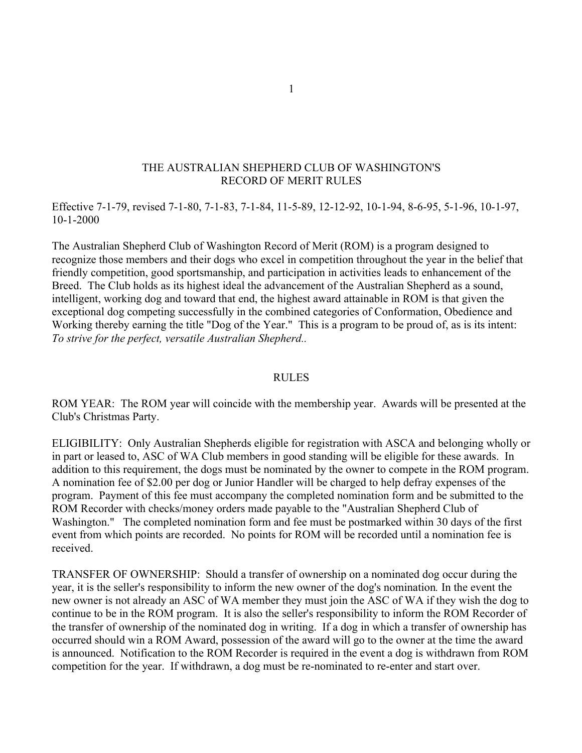## THE AUSTRALIAN SHEPHERD CLUB OF WASHINGTON'S RECORD OF MERIT RULES

Effective 7-1-79, revised 7-1-80, 7-1-83, 7-1-84, 11-5-89, 12-12-92, 10-1-94, 8-6-95, 5-1-96, 10-1-97, 10-1-2000

The Australian Shepherd Club of Washington Record of Merit (ROM) is a program designed to recognize those members and their dogs who excel in competition throughout the year in the belief that friendly competition, good sportsmanship, and participation in activities leads to enhancement of the Breed. The Club holds as its highest ideal the advancement of the Australian Shepherd as a sound, intelligent, working dog and toward that end, the highest award attainable in ROM is that given the exceptional dog competing successfully in the combined categories of Conformation, Obedience and Working thereby earning the title "Dog of the Year." This is a program to be proud of, as is its intent: *To strive for the perfect, versatile Australian Shepherd..*

#### RULES

ROM YEAR: The ROM year will coincide with the membership year. Awards will be presented at the Club's Christmas Party.

ELIGIBILITY: Only Australian Shepherds eligible for registration with ASCA and belonging wholly or in part or leased to, ASC of WA Club members in good standing will be eligible for these awards. In addition to this requirement, the dogs must be nominated by the owner to compete in the ROM program. A nomination fee of \$2.00 per dog or Junior Handler will be charged to help defray expenses of the program. Payment of this fee must accompany the completed nomination form and be submitted to the ROM Recorder with checks/money orders made payable to the "Australian Shepherd Club of Washington." The completed nomination form and fee must be postmarked within 30 days of the first event from which points are recorded. No points for ROM will be recorded until a nomination fee is received.

TRANSFER OF OWNERSHIP: Should a transfer of ownership on a nominated dog occur during the year, it is the seller's responsibility to inform the new owner of the dog's nomination*.* In the event the new owner is not already an ASC of WA member they must join the ASC of WA if they wish the dog to continue to be in the ROM program. It is also the seller's responsibility to inform the ROM Recorder of the transfer of ownership of the nominated dog in writing. If a dog in which a transfer of ownership has occurred should win a ROM Award, possession of the award will go to the owner at the time the award is announced. Notification to the ROM Recorder is required in the event a dog is withdrawn from ROM competition for the year. If withdrawn, a dog must be re-nominated to re-enter and start over.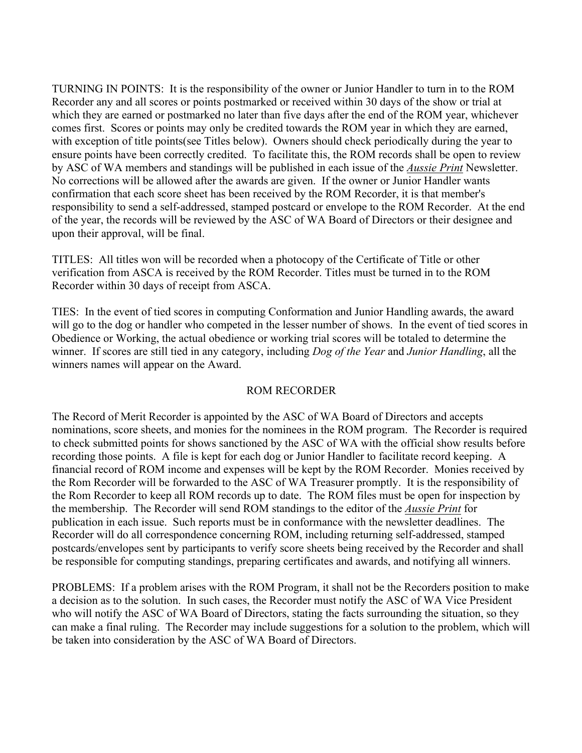TURNING IN POINTS: It is the responsibility of the owner or Junior Handler to turn in to the ROM Recorder any and all scores or points postmarked or received within 30 days of the show or trial at which they are earned or postmarked no later than five days after the end of the ROM year, whichever comes first. Scores or points may only be credited towards the ROM year in which they are earned, with exception of title points(see Titles below). Owners should check periodically during the year to ensure points have been correctly credited. To facilitate this, the ROM records shall be open to review by ASC of WA members and standings will be published in each issue of the *Aussie Print* Newsletter. No corrections will be allowed after the awards are given. If the owner or Junior Handler wants confirmation that each score sheet has been received by the ROM Recorder, it is that member's responsibility to send a self-addressed, stamped postcard or envelope to the ROM Recorder. At the end of the year, the records will be reviewed by the ASC of WA Board of Directors or their designee and upon their approval, will be final.

TITLES: All titles won will be recorded when a photocopy of the Certificate of Title or other verification from ASCA is received by the ROM Recorder. Titles must be turned in to the ROM Recorder within 30 days of receipt from ASCA.

TIES: In the event of tied scores in computing Conformation and Junior Handling awards, the award will go to the dog or handler who competed in the lesser number of shows. In the event of tied scores in Obedience or Working, the actual obedience or working trial scores will be totaled to determine the winner. If scores are still tied in any category, including *Dog of the Year* and *Junior Handling*, all the winners names will appear on the Award.

## ROM RECORDER

The Record of Merit Recorder is appointed by the ASC of WA Board of Directors and accepts nominations, score sheets, and monies for the nominees in the ROM program. The Recorder is required to check submitted points for shows sanctioned by the ASC of WA with the official show results before recording those points. A file is kept for each dog or Junior Handler to facilitate record keeping. A financial record of ROM income and expenses will be kept by the ROM Recorder. Monies received by the Rom Recorder will be forwarded to the ASC of WA Treasurer promptly. It is the responsibility of the Rom Recorder to keep all ROM records up to date. The ROM files must be open for inspection by the membership. The Recorder will send ROM standings to the editor of the *Aussie Print* for publication in each issue. Such reports must be in conformance with the newsletter deadlines. The Recorder will do all correspondence concerning ROM, including returning self-addressed, stamped postcards/envelopes sent by participants to verify score sheets being received by the Recorder and shall be responsible for computing standings, preparing certificates and awards, and notifying all winners.

PROBLEMS: If a problem arises with the ROM Program, it shall not be the Recorders position to make a decision as to the solution. In such cases, the Recorder must notify the ASC of WA Vice President who will notify the ASC of WA Board of Directors, stating the facts surrounding the situation, so they can make a final ruling. The Recorder may include suggestions for a solution to the problem, which will be taken into consideration by the ASC of WA Board of Directors.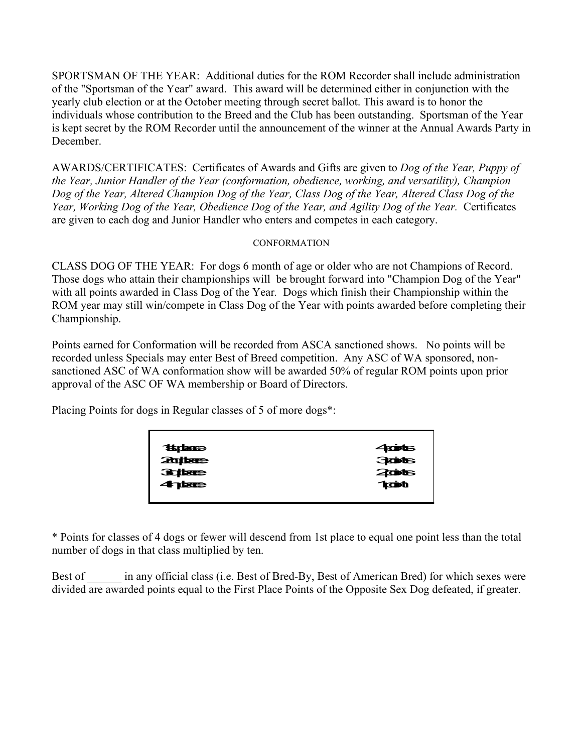SPORTSMAN OF THE YEAR: Additional duties for the ROM Recorder shall include administration of the "Sportsman of the Year" award. This award will be determined either in conjunction with the yearly club election or at the October meeting through secret ballot. This award is to honor the individuals whose contribution to the Breed and the Club has been outstanding. Sportsman of the Year is kept secret by the ROM Recorder until the announcement of the winner at the Annual Awards Party in **December** 

AWARDS/CERTIFICATES: Certificates of Awards and Gifts are given to *Dog of the Year, Puppy of the Year, Junior Handler of the Year (conformation, obedience, working, and versatility), Champion Dog of the Year, Altered Champion Dog of the Year, Class Dog of the Year, Altered Class Dog of the Year, Working Dog of the Year, Obedience Dog of the Year, and Agility Dog of the Year.* Certificates are given to each dog and Junior Handler who enters and competes in each category.

## **CONFORMATION**

CLASS DOG OF THE YEAR: For dogs 6 month of age or older who are not Champions of Record. Those dogs who attain their championships will be brought forward into "Champion Dog of the Year" with all points awarded in Class Dog of the Year*.* Dogs which finish their Championship within the ROM year may still win/compete in Class Dog of the Year with points awarded before completing their Championship.

Points earned for Conformation will be recorded from ASCA sanctioned shows. No points will be recorded unless Specials may enter Best of Breed competition. Any ASC of WA sponsored, nonsanctioned ASC of WA conformation show will be awarded 50% of regular ROM points upon prior approval of the ASC OF WA membership or Board of Directors.

Placing Points for dogs in Regular classes of 5 of more dogs\*:

| <b><i>State</i></b> | $4$ cots      |
|---------------------|---------------|
| <b>Properties</b>   | 30015         |
| <b>Replace</b>      | 2006          |
| 4 phone             | <b>Traint</b> |
|                     |               |

\* Points for classes of 4 dogs or fewer will descend from 1st place to equal one point less than the total number of dogs in that class multiplied by ten.

Best of come in any official class (i.e. Best of Bred-By, Best of American Bred) for which sexes were divided are awarded points equal to the First Place Points of the Opposite Sex Dog defeated, if greater.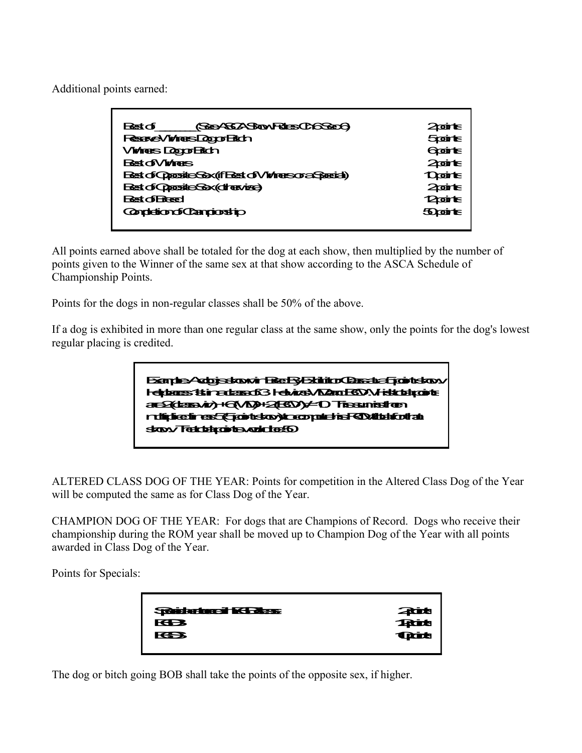Additional points earned:

| <b>GEERS SONTHE CASES</b><br>Bestαf                    | 2 oo rhe                     |
|--------------------------------------------------------|------------------------------|
| Reserve Winters Dogor Elich                            | <b><i><u>Spoints</u></i></b> |
| <b>Vivires Dopp Etch</b>                               | Gointe                       |
| <b>Rest of Volters</b>                                 | $2$ oirte                    |
| Best of Opposite Sex (if Best of Viving sor a Special) | <b>Doorte</b>                |
| Best of Opposite Sox (directional)                     | $2$ oirte                    |
| न्स्तिर की जिल्ल                                       | 12 april 15                  |
| <b>CondightCangostip</b>                               | <b>50airte</b>               |
|                                                        |                              |

All points earned above shall be totaled for the dog at each show, then multiplied by the number of points given to the Winner of the same sex at that show according to the ASCA Schedule of Championship Points.

Points for the dogs in non-regular classes shall be 50% of the above.

If a dog is exhibited in more than one regular class at the same show, only the points for the dog's lowest regular placing is credited.



ALTERED CLASS DOG OF THE YEAR: Points for competition in the Altered Class Dog of the Year will be computed the same as for Class Dog of the Year.

CHAMPION DOG OF THE YEAR: For dogs that are Champions of Record. Dogs who receive their championship during the ROM year shall be moved up to Champion Dog of the Year with all points awarded in Class Dog of the Year.

Points for Specials:

| <b>SCORAFERED INSTANCE</b> |                                                        |
|----------------------------|--------------------------------------------------------|
| <b>КВЗ</b>                 | <b>不在</b><br>在<br><br><br><br><br><br><br><br><br><br> |
| <b>вз</b>                  |                                                        |
|                            |                                                        |

The dog or bitch going BOB shall take the points of the opposite sex, if higher.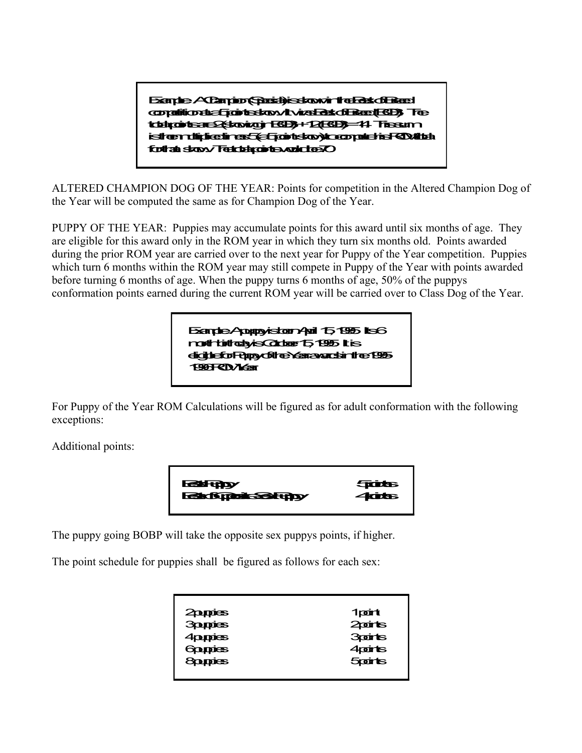Example: A Champion (Special) is shown in the Best of Breed condition at a 5 points show. It was Best of Beet (BD). The total points are 2 (showing in BOB) + 12 (BOB) = 14. This sum is then multiplied times 5 (a 5 point show) to compute his ROM total for that show. The total points would be 70.

ALTERED CHAMPION DOG OF THE YEAR: Points for competition in the Altered Champion Dog of the Year will be computed the same as for Champion Dog of the Year.

PUPPY OF THE YEAR: Puppies may accumulate points for this award until six months of age. They are eligible for this award only in the ROM year in which they turn six months old. Points awarded during the prior ROM year are carried over to the next year for Puppy of the Year competition. Puppies which turn 6 months within the ROM year may still compete in Puppy of the Year with points awarded before turning 6 months of age. When the puppy turns 6 months of age, 50% of the puppys conformation points earned during the current ROM year will be carried over to Class Dog of the Year.

> Example: A puppy is tour April 15, 1995. Its 6 month birthday is October 15, 1995. It is nonthintodyis Cobbert, 1995 it is<br><mark>digible for Puppy of the Year awards in t</mark>he 1995-1996 Roman<br>1996 ROM Year

For Puppy of the Year ROM Calculations will be figured as for adult conformation with the following exceptions:

Additional points:



The puppy going BOBP will take the opposite sex puppys points, if higher.

The point schedule for puppies shall be figured as follows for each sex:

| 2 pappies      | 1point                       |
|----------------|------------------------------|
| <b>3ppies</b>  | 2 points                     |
| 4pupies        | <b>3points</b>               |
| <b>Goupies</b> | 4 points                     |
| <b>Soupies</b> | <b><i><u>Spoints</u></i></b> |
|                |                              |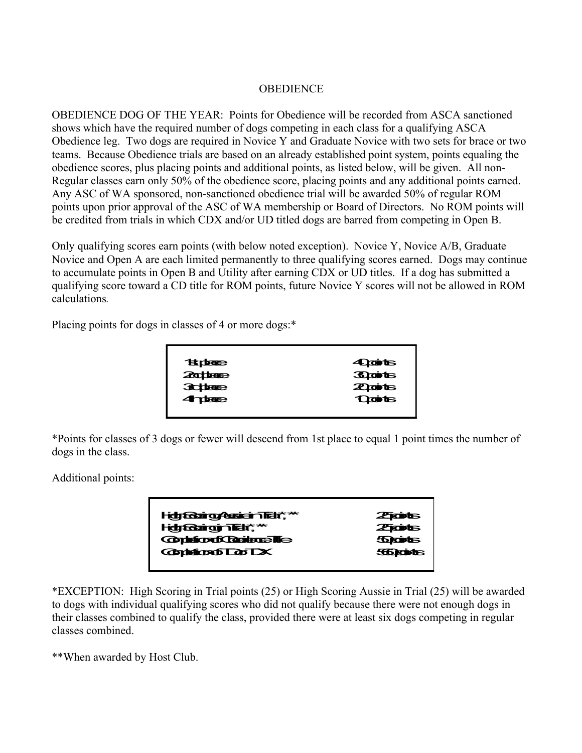## **OBEDIENCE**

OBEDIENCE DOG OF THE YEAR: Points for Obedience will be recorded from ASCA sanctioned shows which have the required number of dogs competing in each class for a qualifying ASCA Obedience leg. Two dogs are required in Novice Y and Graduate Novice with two sets for brace or two teams. Because Obedience trials are based on an already established point system, points equaling the obedience scores, plus placing points and additional points, as listed below, will be given. All non-Regular classes earn only 50% of the obedience score, placing points and any additional points earned. Any ASC of WA sponsored, non-sanctioned obedience trial will be awarded 50% of regular ROM points upon prior approval of the ASC of WA membership or Board of Directors. No ROM points will be credited from trials in which CDX and/or UD titled dogs are barred from competing in Open B.

Only qualifying scores earn points (with below noted exception). Novice Y, Novice A/B, Graduate Novice and Open A are each limited permanently to three qualifying scores earned. Dogs may continue to accumulate points in Open B and Utility after earning CDX or UD titles. If a dog has submitted a qualifying score toward a CD title for ROM points, future Novice Y scores will not be allowed in ROM calculations*.*

Placing points for dogs in classes of 4 or more dogs:\*

| <b>TELBERGE</b> | <b>Apoints</b>  |
|-----------------|-----------------|
| <b>20 base</b>  | <b>Braints</b>  |
| <b>3chae</b>    | <b>Zipoints</b> |
| <b>4 page</b>   | <b>Quits</b>    |
|                 |                 |

\*Points for classes of 3 dogs or fewer will descend from 1st place to equal 1 point times the number of dogs in the class.

Additional points:

| Hdg Godrig Assicial Tick*,** | <b>Ziots</b>   |
|------------------------------|----------------|
| Hidge Gairgin Tick", "       | ZTOOD          |
| <b>Continual Controller</b>  | <b>Storts</b>  |
| <b>Contention of Dorlars</b> | <b>SEDCORE</b> |
|                              |                |

\*EXCEPTION: High Scoring in Trial points (25) or High Scoring Aussie in Trial (25) will be awarded to dogs with individual qualifying scores who did not qualify because there were not enough dogs in their classes combined to qualify the class, provided there were at least six dogs competing in regular classes combined.

\*\*When awarded by Host Club.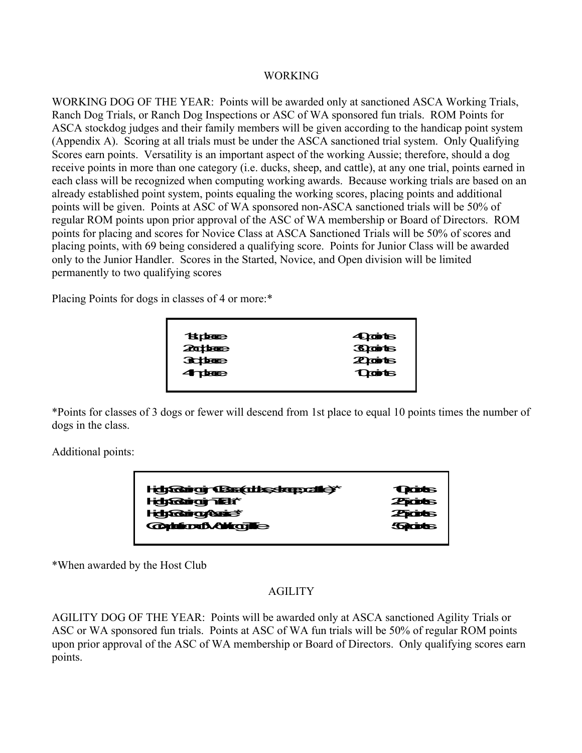#### **WORKING**

WORKING DOG OF THE YEAR: Points will be awarded only at sanctioned ASCA Working Trials, Ranch Dog Trials, or Ranch Dog Inspections or ASC of WA sponsored fun trials. ROM Points for ASCA stockdog judges and their family members will be given according to the handicap point system (Appendix A). Scoring at all trials must be under the ASCA sanctioned trial system. Only Qualifying Scores earn points. Versatility is an important aspect of the working Aussie; therefore, should a dog receive points in more than one category (i.e. ducks, sheep, and cattle), at any one trial, points earned in each class will be recognized when computing working awards. Because working trials are based on an already established point system, points equaling the working scores, placing points and additional points will be given. Points at ASC of WA sponsored non-ASCA sanctioned trials will be 50% of regular ROM points upon prior approval of the ASC of WA membership or Board of Directors. ROM points for placing and scores for Novice Class at ASCA Sanctioned Trials will be 50% of scores and placing points, with 69 being considered a qualifying score. Points for Junior Class will be awarded only to the Junior Handler. Scores in the Started, Novice, and Open division will be limited permanently to two qualifying scores

Placing Points for dogs in classes of 4 or more:\*

| <b>Tange</b>   | 40 anis        |
|----------------|----------------|
| <b>2000000</b> | <b>Braints</b> |
| <b>Subset</b>  | <b>Zigints</b> |
| 4 pege         | <b>Quits</b>   |
|                |                |

\*Points for classes of 3 dogs or fewer will descend from 1st place to equal 10 points times the number of dogs in the class.

Additional points:

| Hdyfairgir (Bas(ddsskrepcille)*              | <b>Trades</b> |
|----------------------------------------------|---------------|
| <b>HelpGaingjair at a</b>                    | <b>Zrots</b>  |
| <b>Hdgrading/Suice</b> ®                     | <b>ZRODES</b> |
| <b>Consideration Consideration Constants</b> | <b>Sports</b> |
|                                              |               |

\*When awarded by the Host Club

# AGILITY

AGILITY DOG OF THE YEAR: Points will be awarded only at ASCA sanctioned Agility Trials or ASC or WA sponsored fun trials. Points at ASC of WA fun trials will be 50% of regular ROM points upon prior approval of the ASC of WA membership or Board of Directors. Only qualifying scores earn points.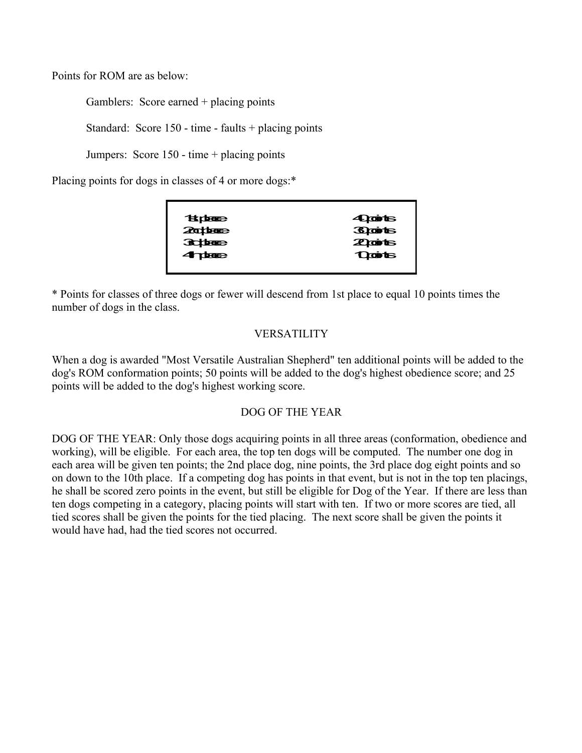Points for ROM are as below:

Gamblers: Score earned + placing points

Standard: Score 150 - time - faults + placing points

Jumpers: Score 150 - time + placing points

Placing points for dogs in classes of 4 or more dogs:\*

| <b>Taidbane</b> | 40 anius       |
|-----------------|----------------|
| <b>20there</b>  | <b>Braints</b> |
| <b>Subject</b>  | <b>Zionts</b>  |
| 4 pteeb         | <b>Quits</b>   |
|                 |                |

\* Points for classes of three dogs or fewer will descend from 1st place to equal 10 points times the number of dogs in the class.

## VERSATILITY

When a dog is awarded "Most Versatile Australian Shepherd" ten additional points will be added to the dog's ROM conformation points; 50 points will be added to the dog's highest obedience score; and 25 points will be added to the dog's highest working score.

## DOG OF THE YEAR

DOG OF THE YEAR: Only those dogs acquiring points in all three areas (conformation, obedience and working), will be eligible. For each area, the top ten dogs will be computed. The number one dog in each area will be given ten points; the 2nd place dog, nine points, the 3rd place dog eight points and so on down to the 10th place. If a competing dog has points in that event, but is not in the top ten placings, he shall be scored zero points in the event, but still be eligible for Dog of the Year. If there are less than ten dogs competing in a category, placing points will start with ten. If two or more scores are tied, all tied scores shall be given the points for the tied placing. The next score shall be given the points it would have had, had the tied scores not occurred.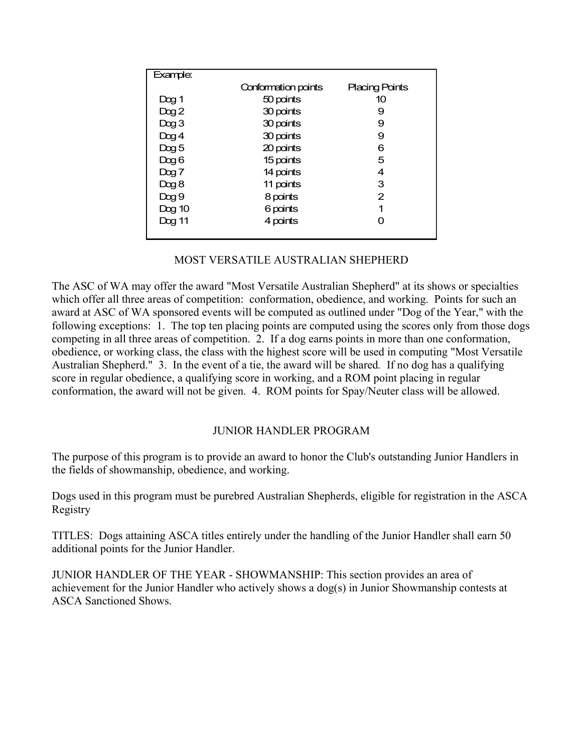| Example:         |                     |                       |
|------------------|---------------------|-----------------------|
|                  | Conformation points | <b>Placing Points</b> |
| Dog <sub>1</sub> | 50 points           | 10                    |
| Dog2             | 30 points           | 9                     |
| $D$ og 3         | 30 points           | 9                     |
| $D$ og 4         | 30 points           | 9                     |
| Dog 5            | 20 points           | 6                     |
| Dog 6            | 15 points           | 5                     |
| $D$ og 7         | 14 points           | 4                     |
| Dog 8            | 11 points           | 3                     |
| Dog 9            | 8 points            | 2                     |
| Dog 10           | 6 points            | 1                     |
| Dog 11           | 4 points            |                       |
|                  |                     |                       |

#### MOST VERSATILE AUSTRALIAN SHEPHERD

The ASC of WA may offer the award "Most Versatile Australian Shepherd" at its shows or specialties which offer all three areas of competition: conformation, obedience, and working. Points for such an award at ASC of WA sponsored events will be computed as outlined under "Dog of the Year," with the following exceptions: 1. The top ten placing points are computed using the scores only from those dogs competing in all three areas of competition. 2. If a dog earns points in more than one conformation, obedience, or working class, the class with the highest score will be used in computing "Most Versatile Australian Shepherd." 3. In the event of a tie, the award will be shared*.* If no dog has a qualifying score in regular obedience, a qualifying score in working, and a ROM point placing in regular conformation, the award will not be given. 4. ROM points for Spay/Neuter class will be allowed.

#### JUNIOR HANDLER PROGRAM

The purpose of this program is to provide an award to honor the Club's outstanding Junior Handlers in the fields of showmanship, obedience, and working.

Dogs used in this program must be purebred Australian Shepherds, eligible for registration in the ASCA Registry

TITLES: Dogs attaining ASCA titles entirely under the handling of the Junior Handler shall earn 50 additional points for the Junior Handler.

JUNIOR HANDLER OF THE YEAR - SHOWMANSHIP: This section provides an area of achievement for the Junior Handler who actively shows a dog(s) in Junior Showmanship contests at ASCA Sanctioned Shows.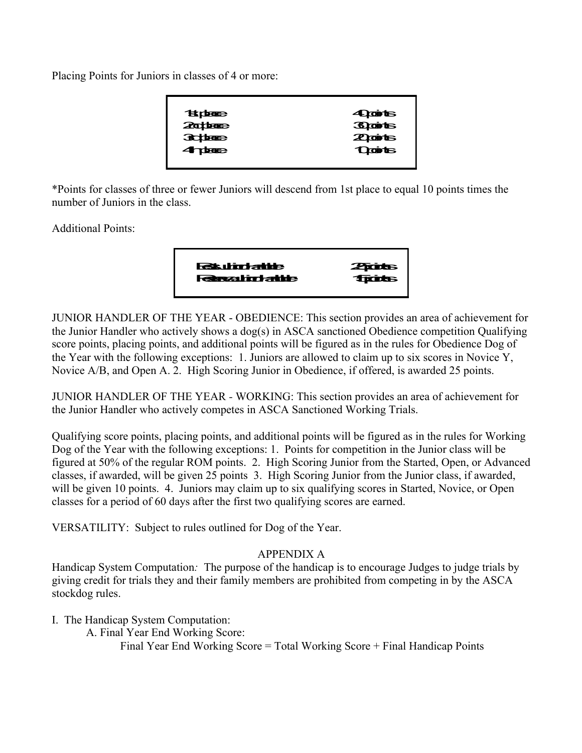Placing Points for Juniors in classes of 4 or more:

| <b>Tanger</b>  | <b>4 Quints</b> |
|----------------|-----------------|
| <b>2000000</b> | <b>Braints</b>  |
| <b>Subject</b> | <b>Zioints</b>  |
| <b>4 deges</b> | <b>Quits</b>    |
|                |                 |

\*Points for classes of three or fewer Juniors will descend from 1st place to equal 10 points times the number of Juniors in the class.

Additional Points:

| <b>Raturdatus</b><br><b>Restauration</b> | <b>ZATOUTS</b><br><b>Tractor</b> |
|------------------------------------------|----------------------------------|
|                                          |                                  |

JUNIOR HANDLER OF THE YEAR - OBEDIENCE: This section provides an area of achievement for the Junior Handler who actively shows a dog(s) in ASCA sanctioned Obedience competition Qualifying score points, placing points, and additional points will be figured as in the rules for Obedience Dog of the Year with the following exceptions: 1. Juniors are allowed to claim up to six scores in Novice Y, Novice A/B, and Open A. 2. High Scoring Junior in Obedience, if offered, is awarded 25 points.

JUNIOR HANDLER OF THE YEAR *-* WORKING: This section provides an area of achievement for the Junior Handler who actively competes in ASCA Sanctioned Working Trials.

Qualifying score points, placing points, and additional points will be figured as in the rules for Working Dog of the Year with the following exceptions: 1. Points for competition in the Junior class will be figured at 50% of the regular ROM points. 2. High Scoring Junior from the Started, Open, or Advanced classes, if awarded, will be given 25 points 3. High Scoring Junior from the Junior class, if awarded, will be given 10 points. 4. Juniors may claim up to six qualifying scores in Started, Novice, or Open classes for a period of 60 days after the first two qualifying scores are earned.

VERSATILITY: Subject to rules outlined for Dog of the Year.

# APPENDIX A

Handicap System Computation*:* The purpose of the handicap is to encourage Judges to judge trials by giving credit for trials they and their family members are prohibited from competing in by the ASCA stockdog rules.

I. The Handicap System Computation:

A. Final Year End Working Score:

Final Year End Working Score = Total Working Score + Final Handicap Points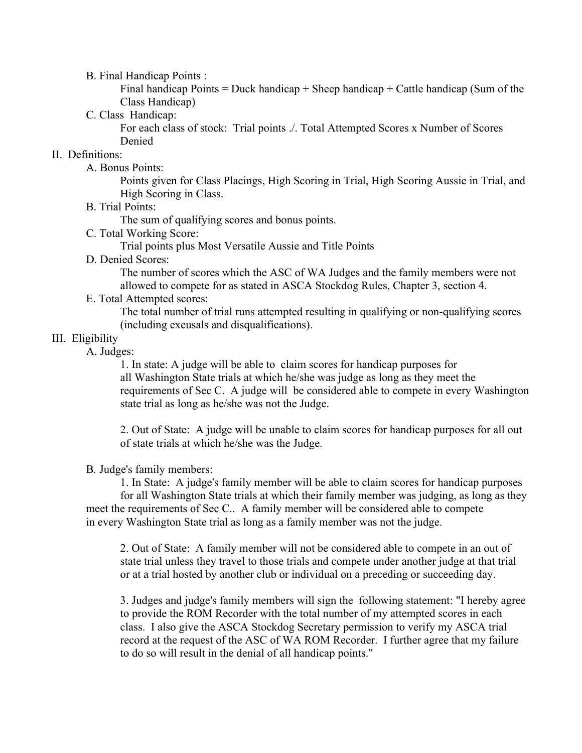B. Final Handicap Points :

Final handicap Points = Duck handicap + Sheep handicap + Cattle handicap (Sum of the Class Handicap)

C. Class Handicap:

For each class of stock: Trial points ./. Total Attempted Scores x Number of Scores Denied

# II. Definitions:

A. Bonus Points:

Points given for Class Placings, High Scoring in Trial, High Scoring Aussie in Trial, and High Scoring in Class.

B. Trial Points:

The sum of qualifying scores and bonus points.

C. Total Working Score:

Trial points plus Most Versatile Aussie and Title Points

D. Denied Scores:

The number of scores which the ASC of WA Judges and the family members were not allowed to compete for as stated in ASCA Stockdog Rules, Chapter 3, section 4.

E. Total Attempted scores:

The total number of trial runs attempted resulting in qualifying or non-qualifying scores (including excusals and disqualifications).

# III. Eligibility

A. Judges:

1. In state: A judge will be able to claim scores for handicap purposes for all Washington State trials at which he/she was judge as long as they meet the requirements of Sec C. A judge will be considered able to compete in every Washington state trial as long as he/she was not the Judge.

2. Out of State: A judge will be unable to claim scores for handicap purposes for all out of state trials at which he/she was the Judge.

B*.* Judge's family members:

1. In State: A judge's family member will be able to claim scores for handicap purposes for all Washington State trials at which their family member was judging, as long as they meet the requirements of Sec C.. A family member will be considered able to compete in every Washington State trial as long as a family member was not the judge.

2. Out of State: A family member will not be considered able to compete in an out of state trial unless they travel to those trials and compete under another judge at that trial or at a trial hosted by another club or individual on a preceding or succeeding day.

3. Judges and judge's family members will sign the following statement: "I hereby agree to provide the ROM Recorder with the total number of my attempted scores in each class. I also give the ASCA Stockdog Secretary permission to verify my ASCA trial record at the request of the ASC of WA ROM Recorder. I further agree that my failure to do so will result in the denial of all handicap points."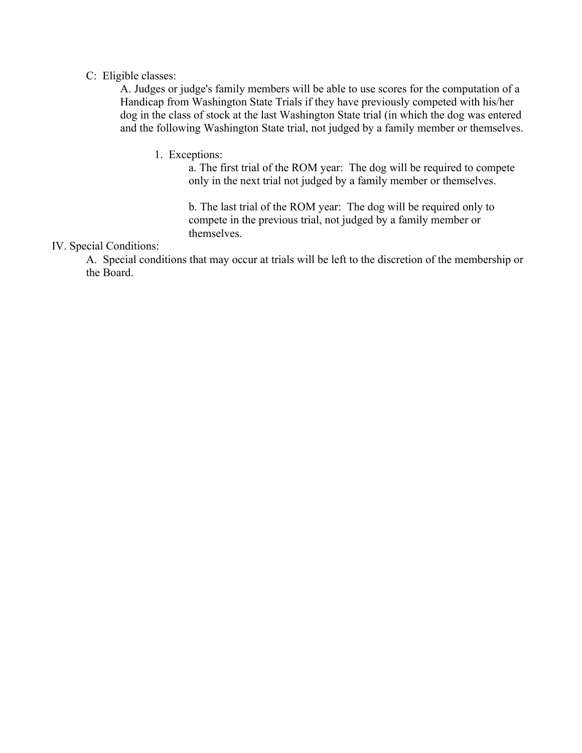### C: Eligible classes:

A. Judges or judge's family members will be able to use scores for the computation of a Handicap from Washington State Trials if they have previously competed with his/her dog in the class of stock at the last Washington State trial (in which the dog was entered and the following Washington State trial, not judged by a family member or themselves.

1. Exceptions:

a. The first trial of the ROM year: The dog will be required to compete only in the next trial not judged by a family member or themselves.

b. The last trial of the ROM year: The dog will be required only to compete in the previous trial, not judged by a family member or themselves.

## IV. Special Conditions:

A. Special conditions that may occur at trials will be left to the discretion of the membership or the Board.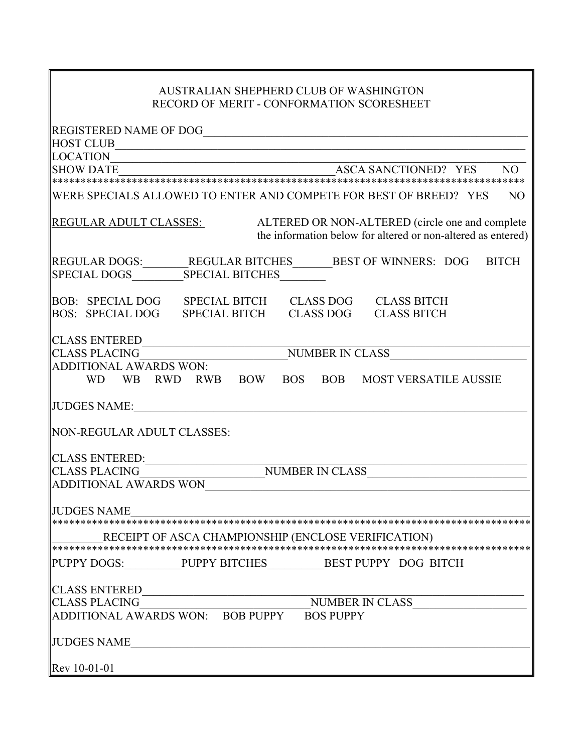# AUSTRALIAN SHEPHERD CLUB OF WASHINGTON RECORD OF MERIT - CONFORMATION SCORESHEET

| <b>HOST CLUB</b>                                                                                                                          |
|-------------------------------------------------------------------------------------------------------------------------------------------|
|                                                                                                                                           |
|                                                                                                                                           |
|                                                                                                                                           |
| WERE SPECIALS ALLOWED TO ENTER AND COMPETE FOR BEST OF BREED? YES<br>N <sub>O</sub>                                                       |
| REGULAR ADULT CLASSES:<br>ALTERED OR NON-ALTERED (circle one and complete<br>the information below for altered or non-altered as entered) |
| REGULAR DOGS:_______REGULAR BITCHES_______BEST OF WINNERS: DOG BITCH<br>  SPECIAL DOGS____________SPECIAL BITCHES_________                |
| BOB: SPECIAL DOG SPECIAL BITCH CLASS DOG CLASS BITCH<br>BOS: SPECIAL DOG SPECIAL BITCH CLASS DOG CLASS BITCH                              |
|                                                                                                                                           |
|                                                                                                                                           |
| CLASS ENTERED<br>CLASS PLACING<br>ADDITIONAL AWARDS WON:<br>WD WB RWD RWB BOW BOS BOB MOST VERSATILE AUSSIE                               |
|                                                                                                                                           |
| NON-REGULAR ADULT CLASSES:                                                                                                                |
|                                                                                                                                           |
|                                                                                                                                           |
| ADDITIONAL AWARDS WON                                                                                                                     |
| <b>JUDGES NAME</b>                                                                                                                        |
|                                                                                                                                           |
| RECEIPT OF ASCA CHAMPIONSHIP (ENCLOSE VERIFICATION)                                                                                       |
|                                                                                                                                           |
| PUPPY DOGS: ______________PUPPY BITCHES____________BEST PUPPY DOG BITCH                                                                   |
|                                                                                                                                           |
|                                                                                                                                           |
|                                                                                                                                           |
| JUDGES NAME                                                                                                                               |
| Rev 10-01-01                                                                                                                              |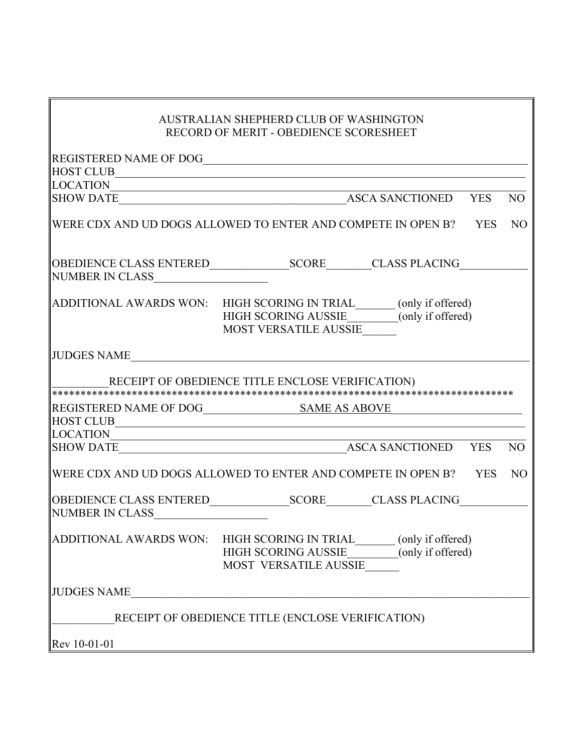|                               | AUSTRALIAN SHEPHERD CLUB OF WASHINGTON                                                                                                         |            |                 |
|-------------------------------|------------------------------------------------------------------------------------------------------------------------------------------------|------------|-----------------|
|                               | RECORD OF MERIT - OBEDIENCE SCORESHEET                                                                                                         |            |                 |
|                               |                                                                                                                                                |            |                 |
|                               |                                                                                                                                                |            |                 |
| <b>LOCATION</b>               |                                                                                                                                                |            |                 |
| <b>SHOW DATE</b>              | ASCA SANCTIONED YES                                                                                                                            |            | N <sub>O</sub>  |
|                               | $\parallel$ WERE CDX AND UD DOGS ALLOWED TO ENTER AND COMPETE IN OPEN B? YES                                                                   |            | N <sub>O</sub>  |
|                               |                                                                                                                                                |            |                 |
|                               | ADDITIONAL AWARDS WON: HIGH SCORING IN TRIAL_______ (only if offered)<br>HIGH SCORING AUSSIE________(only if offered)<br>MOST VERSATILE AUSSIE |            |                 |
| JUDGES NAME                   | <u> 1989 - Johann Barn, amerikan besteman besteman besteman besteman besteman besteman besteman besteman bestema</u>                           |            |                 |
|                               | RECEIPT OF OBEDIENCE TITLE ENCLOSE VERIFICATION)                                                                                               |            |                 |
|                               | ***************************                                                                                                                    |            |                 |
| <b>HOST CLUB</b>              | <u> 1989 - Andrea State Barbara, martin a filozof</u>                                                                                          |            |                 |
| <b>LOCATION</b>               | <u> 2000 - 2000 - 2000 - 2000 - 2000 - 2000 - 2000 - 2000 - 2000 - 2000 - 2000 - 2000 - 2000 - 2000 - 2000 - 200</u>                           |            |                 |
|                               |                                                                                                                                                |            | N <sub>O</sub>  |
|                               | WERE CDX AND UD DOGS ALLOWED TO ENTER AND COMPETE IN OPEN B?                                                                                   | <b>YES</b> | NO <sub>1</sub> |
| NUMBER IN CLASS               |                                                                                                                                                |            |                 |
| <b>ADDITIONAL AWARDS WON:</b> | HIGH SCORING IN TRIAL (only if offered)<br>HIGH SCORING AUSSIE (only if offered)<br>MOST VERSATILE AUSSIE                                      |            |                 |
| <b>JUDGES NAME</b>            |                                                                                                                                                |            |                 |
|                               | RECEIPT OF OBEDIENCE TITLE (ENCLOSE VERIFICATION)                                                                                              |            |                 |
|                               |                                                                                                                                                |            |                 |
| Rev 10-01-01                  |                                                                                                                                                |            |                 |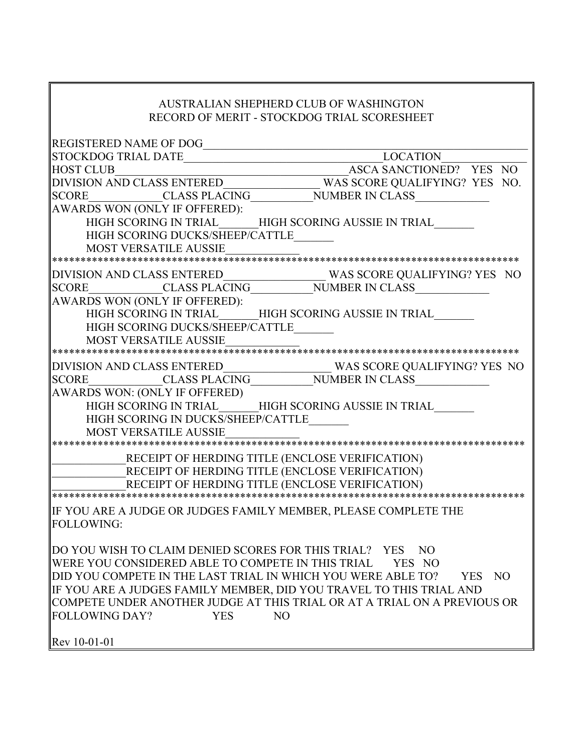# AUSTRALIAN SHEPHERD CLUB OF WASHINGTON RECORD OF MERIT - STOCKDOG TRIAL SCORESHEET

| <b>REGISTERED NAME OF DOG</b>                                | <u> 1980 - Johann Stein, mars an deus Fran</u>                                                    |
|--------------------------------------------------------------|---------------------------------------------------------------------------------------------------|
|                                                              | LOCATION                                                                                          |
|                                                              | HOST CLUB<br>DIVISION AND CLASS ENTERED<br>SCORE CLASS PLACING NUMBER IN CLASS<br>NUMBER IN CLASS |
|                                                              |                                                                                                   |
|                                                              |                                                                                                   |
| AWARDS WON (ONLY IF OFFERED):                                |                                                                                                   |
|                                                              | HIGH SCORING IN TRIAL HIGH SCORING AUSSIE IN TRIAL                                                |
| HIGH SCORING DUCKS/SHEEP/CATTLE                              |                                                                                                   |
| <b>MOST VERSATILE AUSSIE</b>                                 |                                                                                                   |
|                                                              |                                                                                                   |
|                                                              |                                                                                                   |
|                                                              |                                                                                                   |
| AWARDS WON (ONLY IF OFFERED):                                |                                                                                                   |
|                                                              | HIGH SCORING IN TRIAL HIGH SCORING AUSSIE IN TRIAL                                                |
| HIGH SCORING DUCKS/SHEEP/CATTLE                              |                                                                                                   |
| <b>MOST VERSATILE AUSSIE</b>                                 |                                                                                                   |
|                                                              |                                                                                                   |
|                                                              |                                                                                                   |
|                                                              |                                                                                                   |
|                                                              |                                                                                                   |
|                                                              |                                                                                                   |
| HIGH SCORING IN DUCKS/SHEEP/CATTLE                           |                                                                                                   |
| <b>MOST VERSATILE AUSSIE</b>                                 |                                                                                                   |
|                                                              |                                                                                                   |
|                                                              | RECEIPT OF HERDING TITLE (ENCLOSE VERIFICATION)                                                   |
|                                                              | RECEIPT OF HERDING TITLE (ENCLOSE VERIFICATION)                                                   |
|                                                              | RECEIPT OF HERDING TITLE (ENCLOSE VERIFICATION)                                                   |
|                                                              |                                                                                                   |
|                                                              | IF YOU ARE A JUDGE OR JUDGES FAMILY MEMBER, PLEASE COMPLETE THE                                   |
| <b>FOLLOWING:</b>                                            |                                                                                                   |
|                                                              |                                                                                                   |
| DO YOU WISH TO CLAIM DENIED SCORES FOR THIS TRIAL? YES NO    |                                                                                                   |
| WERE YOU CONSIDERED ABLE TO COMPETE IN THIS TRIAL            | YES NO                                                                                            |
| DID YOU COMPETE IN THE LAST TRIAL IN WHICH YOU WERE ABLE TO? | YES<br>NO                                                                                         |
|                                                              | IF YOU ARE A JUDGES FAMILY MEMBER, DID YOU TRAVEL TO THIS TRIAL AND                               |
|                                                              | COMPETE UNDER ANOTHER JUDGE AT THIS TRIAL OR AT A TRIAL ON A PREVIOUS OR                          |
| <b>FOLLOWING DAY?</b><br><b>YES</b>                          | N <sub>O</sub>                                                                                    |
|                                                              |                                                                                                   |
| Rev 10-01-01                                                 |                                                                                                   |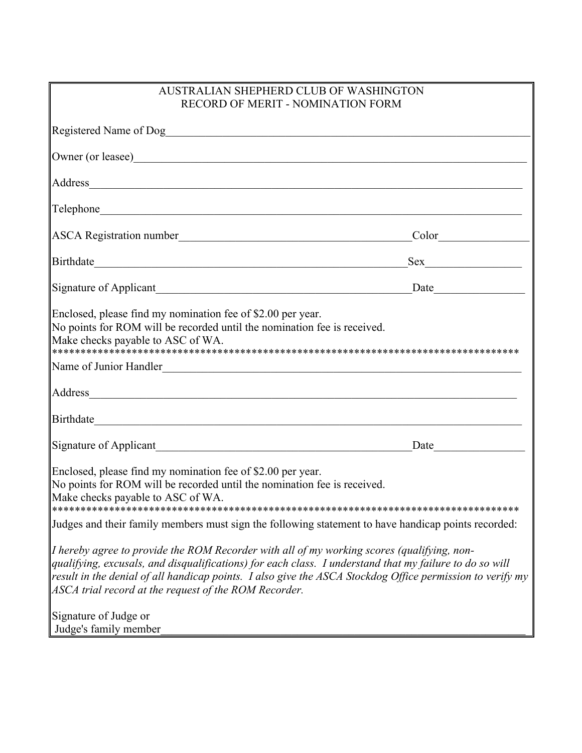| AUSTRALIAN SHEPHERD CLUB OF WASHINGTON<br><b>RECORD OF MERIT - NOMINATION FORM</b>                                                                                                                                                                                                                                                                                          |     |  |  |
|-----------------------------------------------------------------------------------------------------------------------------------------------------------------------------------------------------------------------------------------------------------------------------------------------------------------------------------------------------------------------------|-----|--|--|
| Registered Name of Dog                                                                                                                                                                                                                                                                                                                                                      |     |  |  |
| Owner (or leasee)                                                                                                                                                                                                                                                                                                                                                           |     |  |  |
| Address and the contract of the contract of the contract of the contract of the contract of the contract of the contract of the contract of the contract of the contract of the contract of the contract of the contract of th                                                                                                                                              |     |  |  |
|                                                                                                                                                                                                                                                                                                                                                                             |     |  |  |
|                                                                                                                                                                                                                                                                                                                                                                             |     |  |  |
|                                                                                                                                                                                                                                                                                                                                                                             | Sex |  |  |
|                                                                                                                                                                                                                                                                                                                                                                             |     |  |  |
| Enclosed, please find my nomination fee of \$2.00 per year.<br>No points for ROM will be recorded until the nomination fee is received.<br>Make checks payable to ASC of WA.                                                                                                                                                                                                |     |  |  |
| Name of Junior Handler                                                                                                                                                                                                                                                                                                                                                      |     |  |  |
| Address and the state of the state of the state of the state of the state of the state of the state of the state of the state of the state of the state of the state of the state of the state of the state of the state of th                                                                                                                                              |     |  |  |
|                                                                                                                                                                                                                                                                                                                                                                             |     |  |  |
|                                                                                                                                                                                                                                                                                                                                                                             |     |  |  |
| Enclosed, please find my nomination fee of \$2.00 per year.<br>No points for ROM will be recorded until the nomination fee is received.<br>Make checks payable to ASC of WA.                                                                                                                                                                                                |     |  |  |
| Judges and their family members must sign the following statement to have handicap points recorded:                                                                                                                                                                                                                                                                         |     |  |  |
| I hereby agree to provide the ROM Recorder with all of my working scores (qualifying, non-<br>qualifying, excusals, and disqualifications) for each class. I understand that my failure to do so will<br>result in the denial of all handicap points. I also give the ASCA Stockdog Office permission to verify my<br>ASCA trial record at the request of the ROM Recorder. |     |  |  |
| Signature of Judge or<br>Judge's family member                                                                                                                                                                                                                                                                                                                              |     |  |  |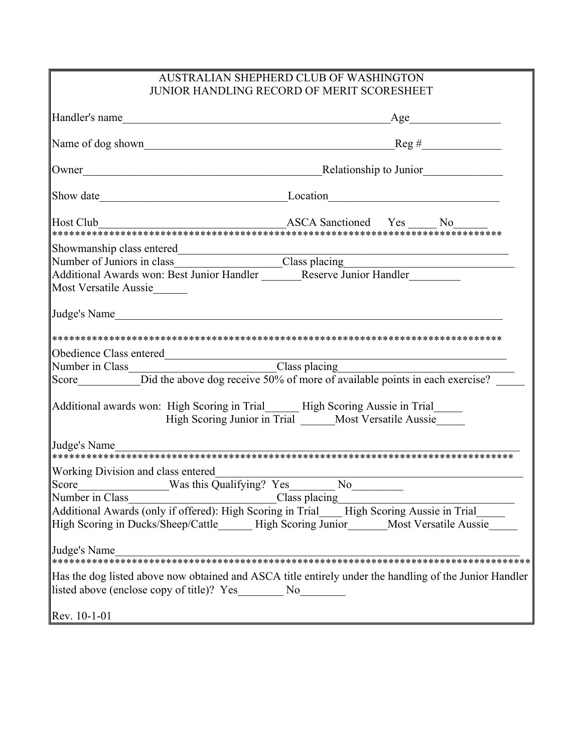| AUSTRALIAN SHEPHERD CLUB OF WASHINGTON<br><b>JUNIOR HANDLING RECORD OF MERIT SCORESHEET</b>                |                                                                                                                                                                                      |  |  |
|------------------------------------------------------------------------------------------------------------|--------------------------------------------------------------------------------------------------------------------------------------------------------------------------------------|--|--|
| Handler's name                                                                                             | Age                                                                                                                                                                                  |  |  |
|                                                                                                            |                                                                                                                                                                                      |  |  |
|                                                                                                            |                                                                                                                                                                                      |  |  |
|                                                                                                            | Show date Location Location Location                                                                                                                                                 |  |  |
| Host Club                                                                                                  |                                                                                                                                                                                      |  |  |
| Showmanship class entered                                                                                  |                                                                                                                                                                                      |  |  |
| <b>Most Versatile Aussie</b>                                                                               |                                                                                                                                                                                      |  |  |
| Judge's Name                                                                                               |                                                                                                                                                                                      |  |  |
|                                                                                                            |                                                                                                                                                                                      |  |  |
|                                                                                                            |                                                                                                                                                                                      |  |  |
|                                                                                                            | Additional awards won: High Scoring in Trial______ High Scoring Aussie in Trial_____<br>High Scoring Junior in Trial _____ Most Versatile Aussie                                     |  |  |
| Judge's Name                                                                                               |                                                                                                                                                                                      |  |  |
| Working Division and class entered<br>Score Was this Qualifying? Yes No Number in Class No Number in Class | Additional Awards (only if offered): High Scoring in Trial___ High Scoring Aussie in Trial_<br>High Scoring in Ducks/Sheep/Cattle_____High Scoring Junior_____Most Versatile Aussie_ |  |  |
| Judge's Name<br>listed above (enclose copy of title)? Yes No                                               | Has the dog listed above now obtained and ASCA title entirely under the handling of the Junior Handler                                                                               |  |  |
| Rev. 10-1-01                                                                                               |                                                                                                                                                                                      |  |  |